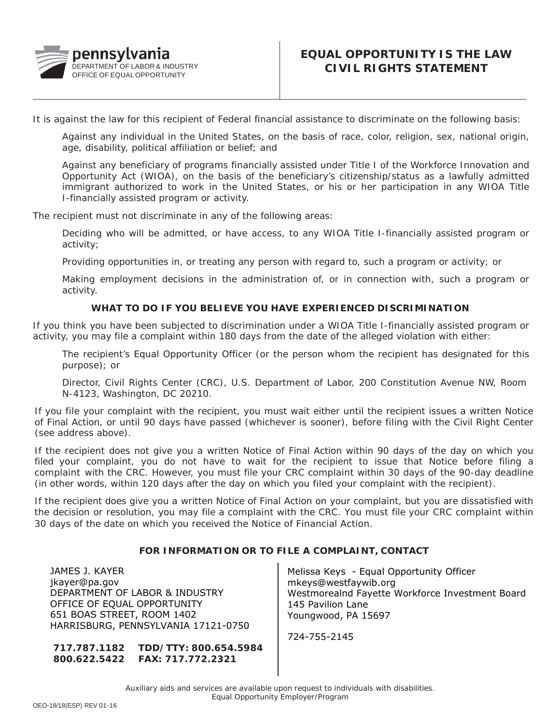

It is against the law for this recipient of Federal financial assistance to discriminate on the following basis:

Against any individual in the United States, on the basis of race, color, religion, sex, national origin, age, disability, political affiliation or belief; and

Against any beneficiary of programs financially assisted under Title I of the Workforce Innovation and Opportunity Act (WIOA), on the basis of the beneficiary's citizenship/status as a lawfully admitted immigrant authorized to work in the United States, or his or her participation in any WIOA Title I-financially assisted program or activity.

The recipient must not discriminate in any of the following areas:

Deciding who will be admitted, or have access, to any WIOA Title I-financially assisted program or activity;

Providing opportunities in, or treating any person with regard to, such a program or activity; or

Making employment decisions in the administration of, or in connection with, such a program or activity.

## **WHAT TO DO IF YOU BELIEVE YOU HAVE EXPERIENCED DISCRIMINATION**

If you think you have been subjected to discrimination under a WIOA Title I-financially assisted program or activity, you may file a complaint within 180 days from the date of the alleged violation with either:

The recipient's Equal Opportunity Officer (or the person whom the recipient has designated for this purpose); or

Director, Civil Rights Center (CRC), U.S. Department of Labor, 200 Constitution Avenue NW, Room N-4123, Washington, DC 20210.

If you file your complaint with the recipient, you must wait either until the recipient issues a written Notice of Final Action, or until 90 days have passed (whichever is sooner), before filing with the Civil Right Center (see address above).

If the recipient does not give you a written Notice of Final Action within 90 days of the day on which you filed your complaint, you do not have to wait for the recipient to issue that Notice before filing a complaint with the CRC. However, you must file your CRC complaint within 30 days of the 90-day deadline (in other words, within 120 days after the day on which you filed your complaint with the recipient).

If the recipient does give you a written Notice of Final Action on your complaint, but you are dissatisfied with the decision or resolution, you may file a complaint with the CRC. You must file your CRC complaint within 30 days of the date on which you received the Notice of Financial Action.

## **FOR INFORMATION OR TO FILE A COMPLAINT, CONTACT**

JAMES J. KAYER jkayer@pa.gov DEPARTMENT OF LABOR & IND[USTRY](mailto:jkayer@pa.gov)  OFFICE OF EQUAL OPPORTUNITY 651 BOAS STREET, ROOM 1402 HARRISBURG, PENNSYLVANIA 17121-0750

**717.787.1182 800.622.5422 FAX: 717.772.2321 TDD/TTY: 800.654.5984** Melissa Keys - Equal Opportunity Officer mkeys@westfaywib.org Westmorealnd Fayette Workforce Investment Board 145 Pavilion Lane Youngwood, PA 15697

724-755-2145